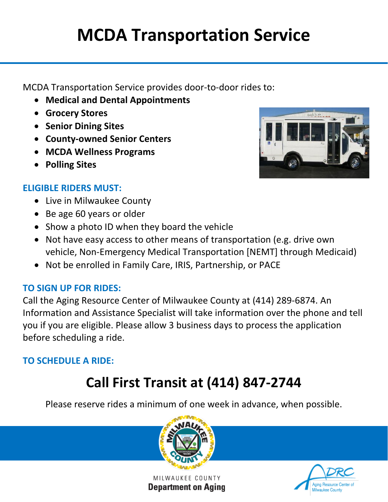# **MCDA Transportation Service**

MCDA Transportation Service provides door-to-door rides to:

- **Medical and Dental Appointments**
- **Grocery Stores**
- **Senior Dining Sites**
- **County-owned Senior Centers**
- **MCDA Wellness Programs**
- **Polling Sites**

# **ELIGIBLE RIDERS MUST:**

- Live in Milwaukee County
- Be age 60 years or older
- Show a photo ID when they board the vehicle
- Not have easy access to other means of transportation (e.g. drive own vehicle, Non-Emergency Medical Transportation [NEMT] through Medicaid)
- Not be enrolled in Family Care, IRIS, Partnership, or PACE

## **TO SIGN UP FOR RIDES:**

Call the Aging Resource Center of Milwaukee County at (414) 289-6874. An Information and Assistance Specialist will take information over the phone and tell you if you are eligible. Please allow 3 business days to process the application before scheduling a ride.

## **TO SCHEDULE A RIDE:**

# **Call First Transit at (414) 847-2744**

Please reserve rides a minimum of one week in advance, when possible.